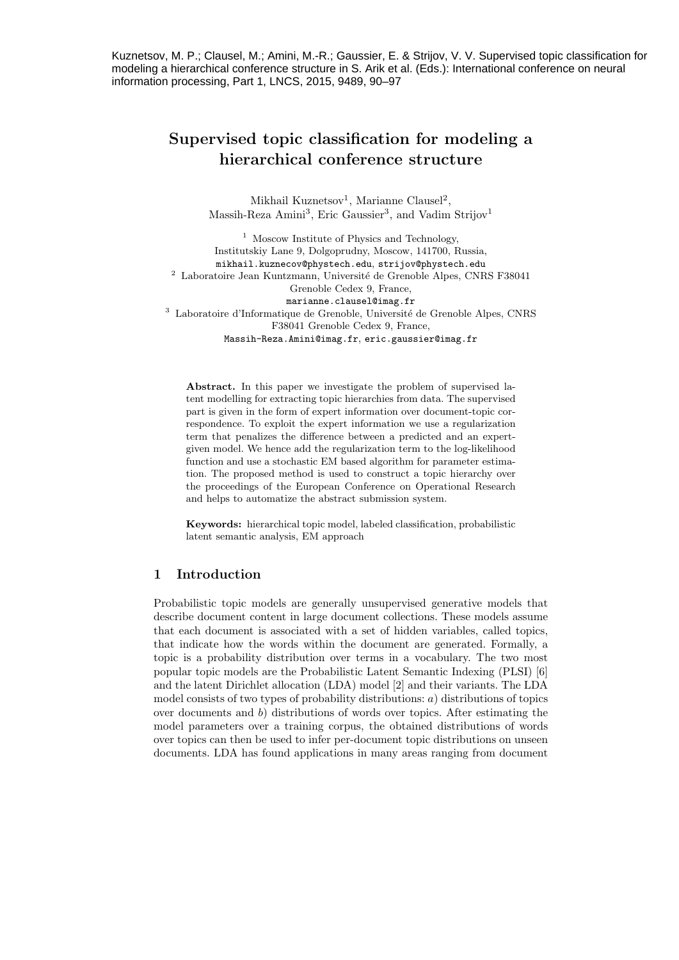Kuznetsov, M. P.; Clausel, M.; Amini, M.-R.; Gaussier, E. & Strijov, V. V. Supervised topic classification for modeling a hierarchical conference structure in S. Arik et al. (Eds.): International conference on neural information processing, Part 1, LNCS, 2015, 9489, 90–97

# Supervised topic classification for modeling a hierarchical conference structure

Mikhail Kuznetsov<sup>1</sup>, Marianne Clausel<sup>2</sup>, Massih-Reza Amini<sup>3</sup>, Eric Gaussier<sup>3</sup>, and Vadim Strijov<sup>1</sup>

<sup>1</sup> Moscow Institute of Physics and Technology, Institutskiy Lane 9, Dolgoprudny, Moscow, 141700, Russia, mikhail.kuznecov@phystech.edu, strijov@phystech.edu <sup>2</sup> Laboratoire Jean Kuntzmann, Université de Grenoble Alpes, CNRS F38041 Grenoble Cedex 9, France, marianne.clausel@imag.fr <sup>3</sup> Laboratoire d'Informatique de Grenoble, Université de Grenoble Alpes, CNRS F38041 Grenoble Cedex 9, France, Massih-Reza.Amini@imag.fr, eric.gaussier@imag.fr

Abstract. In this paper we investigate the problem of supervised latent modelling for extracting topic hierarchies from data. The supervised part is given in the form of expert information over document-topic correspondence. To exploit the expert information we use a regularization term that penalizes the difference between a predicted and an expertgiven model. We hence add the regularization term to the log-likelihood function and use a stochastic EM based algorithm for parameter estimation. The proposed method is used to construct a topic hierarchy over the proceedings of the European Conference on Operational Research and helps to automatize the abstract submission system.

Keywords: hierarchical topic model, labeled classification, probabilistic latent semantic analysis, EM approach

# 1 Introduction

Probabilistic topic models are generally unsupervised generative models that describe document content in large document collections. These models assume that each document is associated with a set of hidden variables, called topics, that indicate how the words within the document are generated. Formally, a topic is a probability distribution over terms in a vocabulary. The two most popular topic models are the Probabilistic Latent Semantic Indexing (PLSI) [6] and the latent Dirichlet allocation (LDA) model [2] and their variants. The LDA model consists of two types of probability distributions: a) distributions of topics over documents and b) distributions of words over topics. After estimating the model parameters over a training corpus, the obtained distributions of words over topics can then be used to infer per-document topic distributions on unseen documents. LDA has found applications in many areas ranging from document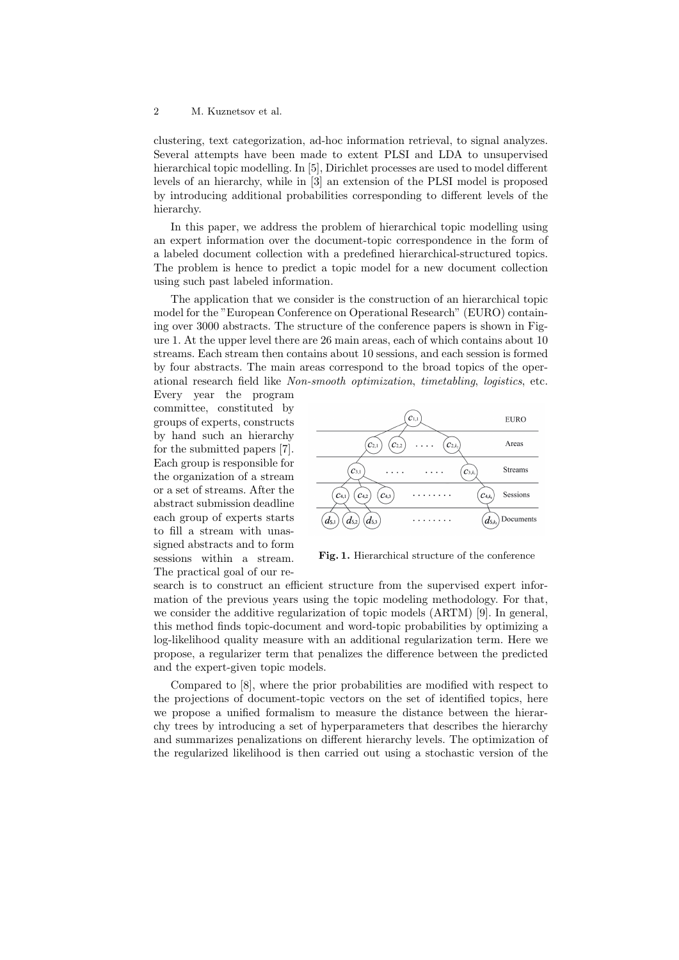clustering, text categorization, ad-hoc information retrieval, to signal analyzes. Several attempts have been made to extent PLSI and LDA to unsupervised hierarchical topic modelling. In [5], Dirichlet processes are used to model different levels of an hierarchy, while in [3] an extension of the PLSI model is proposed by introducing additional probabilities corresponding to different levels of the hierarchy.

In this paper, we address the problem of hierarchical topic modelling using an expert information over the document-topic correspondence in the form of a labeled document collection with a predefined hierarchical-structured topics. The problem is hence to predict a topic model for a new document collection using such past labeled information.

The application that we consider is the construction of an hierarchical topic model for the "European Conference on Operational Research" (EURO) containing over 3000 abstracts. The structure of the conference papers is shown in Figure 1. At the upper level there are 26 main areas, each of which contains about 10 streams. Each stream then contains about 10 sessions, and each session is formed by four abstracts. The main areas correspond to the broad topics of the operational research field like Non-smooth optimization, timetabling, logistics, etc.

Every year the program committee, constituted by groups of experts, constructs by hand such an hierarchy for the submitted papers [7]. Each group is responsible for the organization of a stream or a set of streams. After the abstract submission deadline each group of experts starts to fill a stream with unassigned abstracts and to form sessions within a stream. The practical goal of our re-



Fig. 1. Hierarchical structure of the conference

search is to construct an efficient structure from the supervised expert information of the previous years using the topic modeling methodology. For that, we consider the additive regularization of topic models (ARTM) [9]. In general, this method finds topic-document and word-topic probabilities by optimizing a log-likelihood quality measure with an additional regularization term. Here we propose, a regularizer term that penalizes the difference between the predicted and the expert-given topic models.

Compared to [8], where the prior probabilities are modified with respect to the projections of document-topic vectors on the set of identified topics, here we propose a unified formalism to measure the distance between the hierarchy trees by introducing a set of hyperparameters that describes the hierarchy and summarizes penalizations on different hierarchy levels. The optimization of the regularized likelihood is then carried out using a stochastic version of the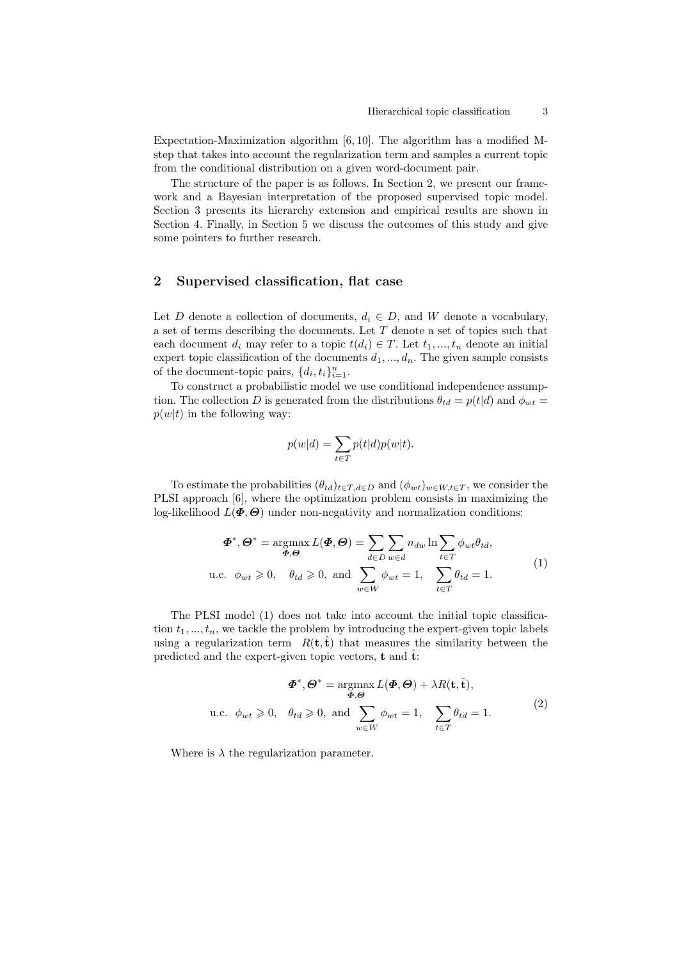Expectation-Maximization algorithm [6, 10]. The algorithm has a modified Mstep that takes into account the regularization term and samples a current topic from the conditional distribution on a given word-document pair.

The structure of the paper is as follows. In Section 2, we present our framework and a Bayesian interpretation of the proposed supervised topic model. Section 3 presents its hierarchy extension and empirical results are shown in Section 4. Finally, in Section 5 we discuss the outcomes of this study and give some pointers to further research.

# 2 Supervised classification, flat case

Let D denote a collection of documents,  $d_i \in D$ , and W denote a vocabulary, a set of terms describing the documents. Let  $T$  denote a set of topics such that each document  $d_i$  may refer to a topic  $t(d_i) \in T$ . Let  $t_1, ..., t_n$  denote an initial expert topic classification of the documents  $d_1, ..., d_n$ . The given sample consists of the document-topic pairs,  $\{d_i, t_i\}_{i=1}^n$ .

To construct a probabilistic model we use conditional independence assumption. The collection D is generated from the distributions  $\theta_{td} = p(t|d)$  and  $\phi_{wt} =$  $p(w|t)$  in the following way:

$$
p(w|d) = \sum_{t \in T} p(t|d)p(w|t).
$$

To estimate the probabilities  $(\theta_{td})_{t\in T, d\in D}$  and  $(\phi_{wt})_{w\in W, t\in T}$ , we consider the PLSI approach [6], where the optimization problem consists in maximizing the log-likelihood  $L(\Phi, \Theta)$  under non-negativity and normalization conditions:

$$
\Phi^*, \Theta^* = \underset{\Phi, \Theta}{\operatorname{argmax}} L(\Phi, \Theta) = \sum_{d \in D} \sum_{w \in d} n_{dw} \ln \sum_{t \in T} \phi_{wt} \theta_{td},
$$
  
u.c.  $\phi_{wt} \ge 0$ ,  $\theta_{td} \ge 0$ , and  $\sum_{w \in W} \phi_{wt} = 1$ ,  $\sum_{t \in T} \theta_{td} = 1$ . (1)

The PLSI model (1) does not take into account the initial topic classification  $t_1, ..., t_n$ , we tackle the problem by introducing the expert-given topic labels using a regularization term  $R(t, \hat{t})$  that measures the similarity between the predicted and the expert-given topic vectors, **t** and  $\hat{\mathbf{t}}$ :

$$
\Phi^*, \Theta^* = \underset{\Phi, \Theta}{\operatorname{argmax}} L(\Phi, \Theta) + \lambda R(\mathbf{t}, \hat{\mathbf{t}}),
$$
  
u.c.  $\phi_{wt} \ge 0$ ,  $\theta_{td} \ge 0$ , and  $\sum_{w \in W} \phi_{wt} = 1$ ,  $\sum_{t \in T} \theta_{td} = 1$ . (2)

Where is  $\lambda$  the regularization parameter.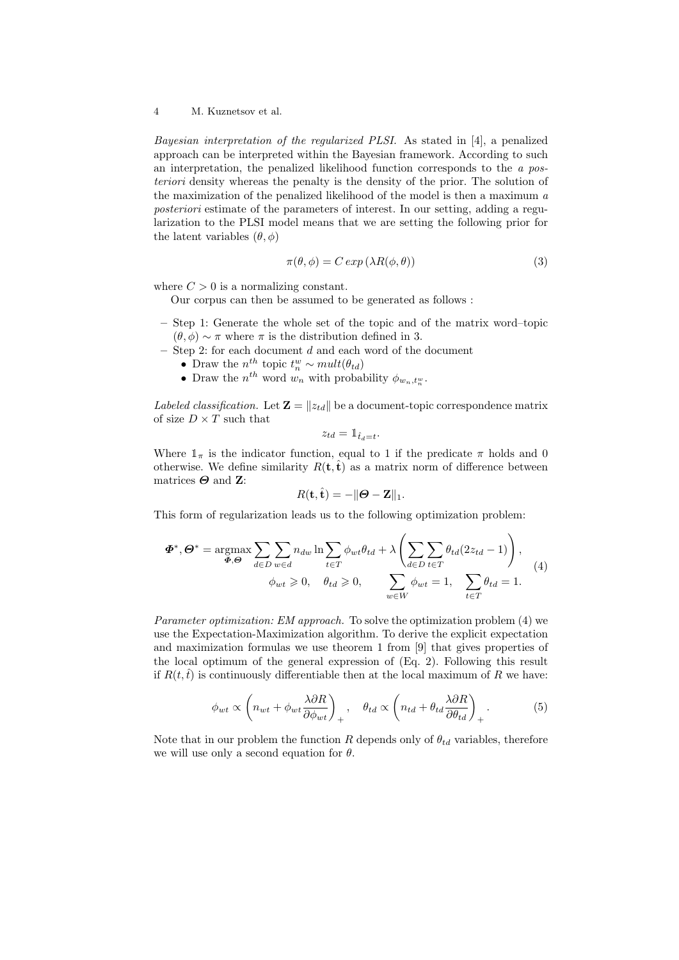#### 4 M. Kuznetsov et al.

Bayesian interpretation of the regularized PLSI. As stated in [4], a penalized approach can be interpreted within the Bayesian framework. According to such an interpretation, the penalized likelihood function corresponds to the a posteriori density whereas the penalty is the density of the prior. The solution of the maximization of the penalized likelihood of the model is then a maximum a posteriori estimate of the parameters of interest. In our setting, adding a regularization to the PLSI model means that we are setting the following prior for the latent variables  $(\theta, \phi)$ 

$$
\pi(\theta, \phi) = C \exp(\lambda R(\phi, \theta)) \tag{3}
$$

where  $C > 0$  is a normalizing constant.

Our corpus can then be assumed to be generated as follows :

- Step 1: Generate the whole set of the topic and of the matrix word–topic  $(\theta, \phi) \sim \pi$  where  $\pi$  is the distribution defined in 3.
- $-$  Step 2: for each document  $d$  and each word of the document
	- Draw the  $n^{th}$  topic  $t_n^w \sim mult(\theta_{td})$
	- Draw the  $n^{th}$  word  $w_n$  with probability  $\phi_{w_n,t_n^w}$ .

Labeled classification. Let  $\mathbf{Z} = ||z_{td}||$  be a document-topic correspondence matrix of size  $D\times T$  such that

$$
z_{td} = \mathbb{1}_{\hat{t}_d = t}.
$$

Where  $1_{\pi}$  is the indicator function, equal to 1 if the predicate  $\pi$  holds and 0 otherwise. We define similarity  $R(t, \hat{t})$  as a matrix norm of difference between matrices  $\Theta$  and Z:

$$
R(\mathbf{t},\hat{\mathbf{t}}) = -\|\boldsymbol{\Theta} - \mathbf{Z}\|_1.
$$

This form of regularization leads us to the following optimization problem:

$$
\Phi^*, \Theta^* = \underset{\Phi, \Theta}{\operatorname{argmax}} \sum_{d \in D} \sum_{w \in d} n_{dw} \ln \sum_{t \in T} \phi_{wt} \theta_{td} + \lambda \left( \sum_{d \in D} \sum_{t \in T} \theta_{td} (2z_{td} - 1) \right),
$$
  

$$
\phi_{wt} \geq 0, \quad \theta_{td} \geq 0, \qquad \sum_{w \in W} \phi_{wt} = 1, \quad \sum_{t \in T} \theta_{td} = 1.
$$
 (4)

Parameter optimization: EM approach. To solve the optimization problem (4) we use the Expectation-Maximization algorithm. To derive the explicit expectation and maximization formulas we use theorem 1 from [9] that gives properties of the local optimum of the general expression of (Eq. 2). Following this result if  $R(t, \hat{t})$  is continuously differentiable then at the local maximum of R we have:

$$
\phi_{wt} \propto \left( n_{wt} + \phi_{wt} \frac{\lambda \partial R}{\partial \phi_{wt}} \right)_+, \quad \theta_{td} \propto \left( n_{td} + \theta_{td} \frac{\lambda \partial R}{\partial \theta_{td}} \right)_+.
$$
 (5)

Note that in our problem the function R depends only of  $\theta_{td}$  variables, therefore we will use only a second equation for  $\theta$ .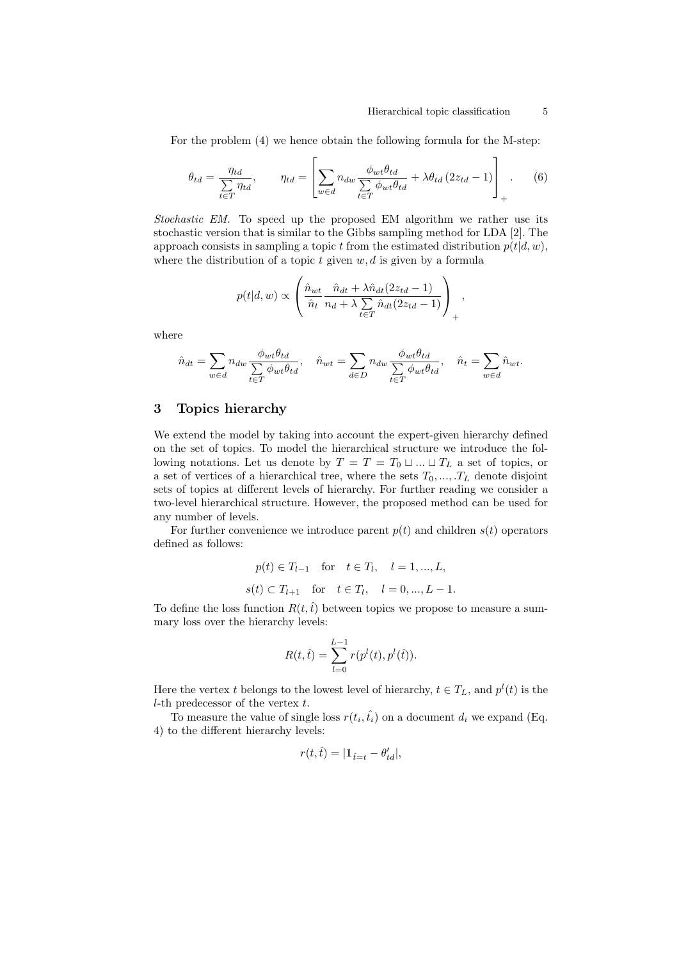,

For the problem (4) we hence obtain the following formula for the M-step:

 $\overline{r}$ 

$$
\theta_{td} = \frac{\eta_{td}}{\sum\limits_{t \in T} \eta_{td}}, \qquad \eta_{td} = \left[ \sum\limits_{w \in d} n_{dw} \frac{\phi_{wt} \theta_{td}}{\sum\limits_{t \in T} \phi_{wt} \theta_{td}} + \lambda \theta_{td} \left( 2 z_{td} - 1 \right) \right]_+ \tag{6}
$$

Stochastic EM. To speed up the proposed EM algorithm we rather use its stochastic version that is similar to the Gibbs sampling method for LDA [2]. The approach consists in sampling a topic t from the estimated distribution  $p(t|d, w)$ , where the distribution of a topic  $t$  given  $w, d$  is given by a formula

$$
p(t|d, w) \propto \left( \frac{\hat{n}_{wt}}{\hat{n}_t} \frac{\hat{n}_{dt} + \lambda \hat{n}_{dt} (2z_{td} - 1)}{n_d + \lambda \sum\limits_{t \in T} \hat{n}_{dt} (2z_{td} - 1)} \right)_{+}
$$

where

$$
\hat{n}_{dt} = \sum_{w \in d} n_{dw} \frac{\phi_{wt} \theta_{td}}{\sum_{t \in T} \phi_{wt} \theta_{td}}, \quad \hat{n}_{wt} = \sum_{d \in D} n_{dw} \frac{\phi_{wt} \theta_{td}}{\sum_{t \in T} \phi_{wt} \theta_{td}}, \quad \hat{n}_t = \sum_{w \in d} \hat{n}_{wt}.
$$

## 3 Topics hierarchy

We extend the model by taking into account the expert-given hierarchy defined on the set of topics. To model the hierarchical structure we introduce the following notations. Let us denote by  $T = T = T_0 \sqcup ... \sqcup T_L$  a set of topics, or a set of vertices of a hierarchical tree, where the sets  $T_0, ..., T_L$  denote disjoint sets of topics at different levels of hierarchy. For further reading we consider a two-level hierarchical structure. However, the proposed method can be used for any number of levels.

For further convenience we introduce parent  $p(t)$  and children  $s(t)$  operators defined as follows:

$$
p(t) \in T_{l-1}
$$
 for  $t \in T_l$ ,  $l = 1, ..., L$ ,  
\n $s(t) \subset T_{l+1}$  for  $t \in T_l$ ,  $l = 0, ..., L - 1$ .

To define the loss function  $R(t, \hat{t})$  between topics we propose to measure a summary loss over the hierarchy levels:

$$
R(t,\hat{t}) = \sum_{l=0}^{L-1} r(p^{l}(t), p^{l}(\hat{t})).
$$

Here the vertex t belongs to the lowest level of hierarchy,  $t \in T_L$ , and  $p^l(t)$  is the  $l$ -th predecessor of the vertex  $t$ .

To measure the value of single loss  $r(t_i, \hat{t_i})$  on a document  $d_i$  we expand (Eq. 4) to the different hierarchy levels:

$$
r(t,\hat{t})=|\mathbbm{1}_{\hat{t}=t}-\theta_{td}^{\prime}|,
$$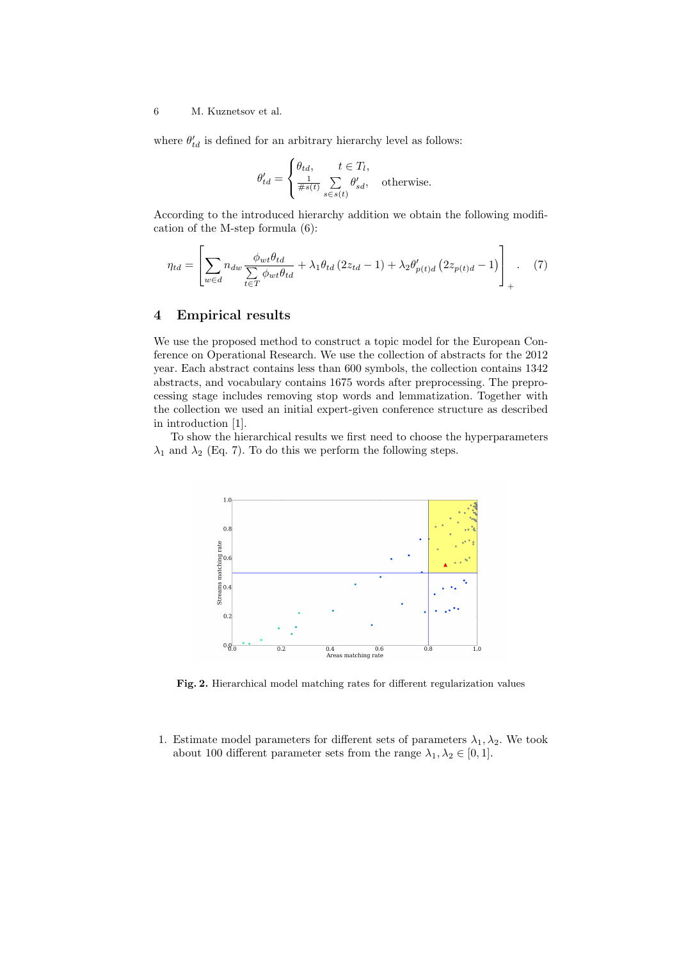### 6 M. Kuznetsov et al.

where  $\theta'_{td}$  is defined for an arbitrary hierarchy level as follows:

$$
\theta_{td}' = \begin{cases} \theta_{td}, & t \in T_l, \\ \frac{1}{\#s(t)} \sum_{s \in s(t)} \theta_{sd}', & \text{otherwise.} \end{cases}
$$

According to the introduced hierarchy addition we obtain the following modification of the M-step formula (6):

$$
\eta_{td} = \left[ \sum_{w \in d} n_{dw} \frac{\phi_{wt} \theta_{td}}{\sum\limits_{t \in T} \phi_{wt} \theta_{td}} + \lambda_1 \theta_{td} \left( 2z_{td} - 1 \right) + \lambda_2 \theta'_{p(t)d} \left( 2z_{p(t)d} - 1 \right) \right]_+ . \tag{7}
$$

# 4 Empirical results

We use the proposed method to construct a topic model for the European Conference on Operational Research. We use the collection of abstracts for the 2012 year. Each abstract contains less than 600 symbols, the collection contains 1342 abstracts, and vocabulary contains 1675 words after preprocessing. The preprocessing stage includes removing stop words and lemmatization. Together with the collection we used an initial expert-given conference structure as described in introduction [1].

To show the hierarchical results we first need to choose the hyperparameters  $\lambda_1$  and  $\lambda_2$  (Eq. 7). To do this we perform the following steps.



Fig. 2. Hierarchical model matching rates for different regularization values

1. Estimate model parameters for different sets of parameters  $\lambda_1, \lambda_2$ . We took about 100 different parameter sets from the range  $\lambda_1, \lambda_2 \in [0, 1]$ .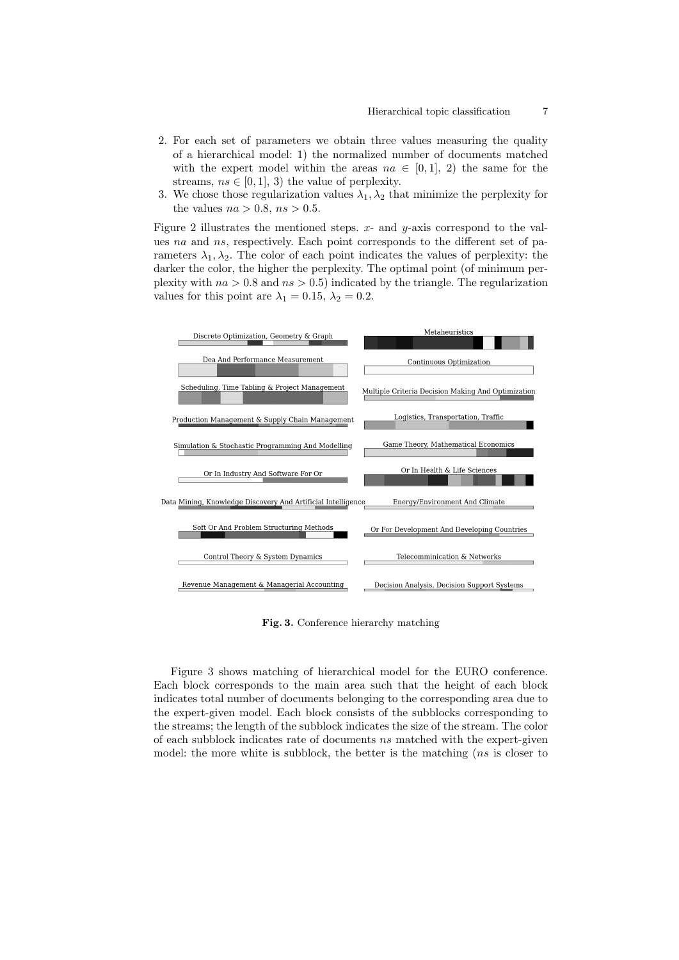- 2. For each set of parameters we obtain three values measuring the quality of a hierarchical model: 1) the normalized number of documents matched with the expert model within the areas  $na \in [0,1], 2$  the same for the streams,  $ns \in [0, 1], 3$  the value of perplexity.
- 3. We chose those regularization values  $\lambda_1, \lambda_2$  that minimize the perplexity for the values  $na > 0.8$ ,  $ns > 0.5$ .

Figure 2 illustrates the mentioned steps.  $x$ - and  $y$ -axis correspond to the values na and ns, respectively. Each point corresponds to the different set of parameters  $\lambda_1, \lambda_2$ . The color of each point indicates the values of perplexity: the darker the color, the higher the perplexity. The optimal point (of minimum perplexity with  $na > 0.8$  and  $ns > 0.5$ ) indicated by the triangle. The regularization values for this point are  $\lambda_1 = 0.15$ ,  $\lambda_2 = 0.2$ .



Fig. 3. Conference hierarchy matching

Figure 3 shows matching of hierarchical model for the EURO conference. Each block corresponds to the main area such that the height of each block indicates total number of documents belonging to the corresponding area due to the expert-given model. Each block consists of the subblocks corresponding to the streams; the length of the subblock indicates the size of the stream. The color of each subblock indicates rate of documents ns matched with the expert-given model: the more white is subblock, the better is the matching (*ns* is closer to